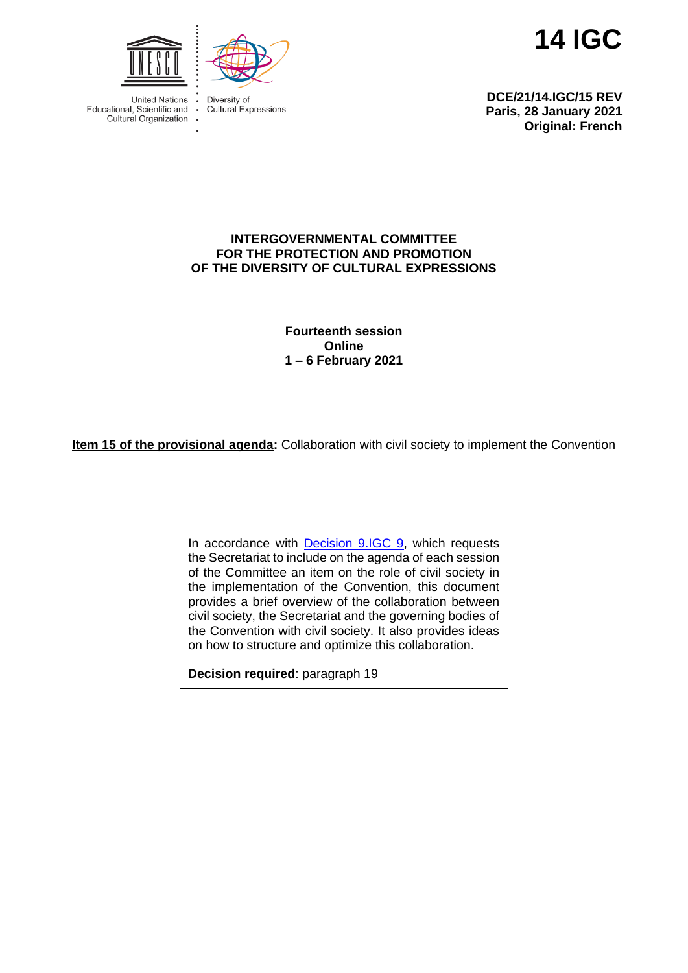**14 IGC**



Diversity of Cultural Expressions

**United Nations** Educational, Scientific and Cultural Organization .

**DCE/21/14.IGC/15 REV Paris, 28 January 2021 Original: French**

## **INTERGOVERNMENTAL COMMITTEE FOR THE PROTECTION AND PROMOTION OF THE DIVERSITY OF CULTURAL EXPRESSIONS**

**Fourteenth session Online 1 – 6 February 2021**

**Item 15 of the provisional agenda:** Collaboration with civil society to implement the Convention

In accordance with [Decision 9.IGC 9,](https://en.unesco.org/creativity/sites/creativity/files/sessions/9igc_decisions_en_final.pdf) which requests the Secretariat to include on the agenda of each session of the Committee an item on the role of civil society in the implementation of the Convention, this document provides a brief overview of the collaboration between civil society, the Secretariat and the governing bodies of the Convention with civil society. It also provides ideas on how to structure and optimize this collaboration.

**Decision required**: paragraph 19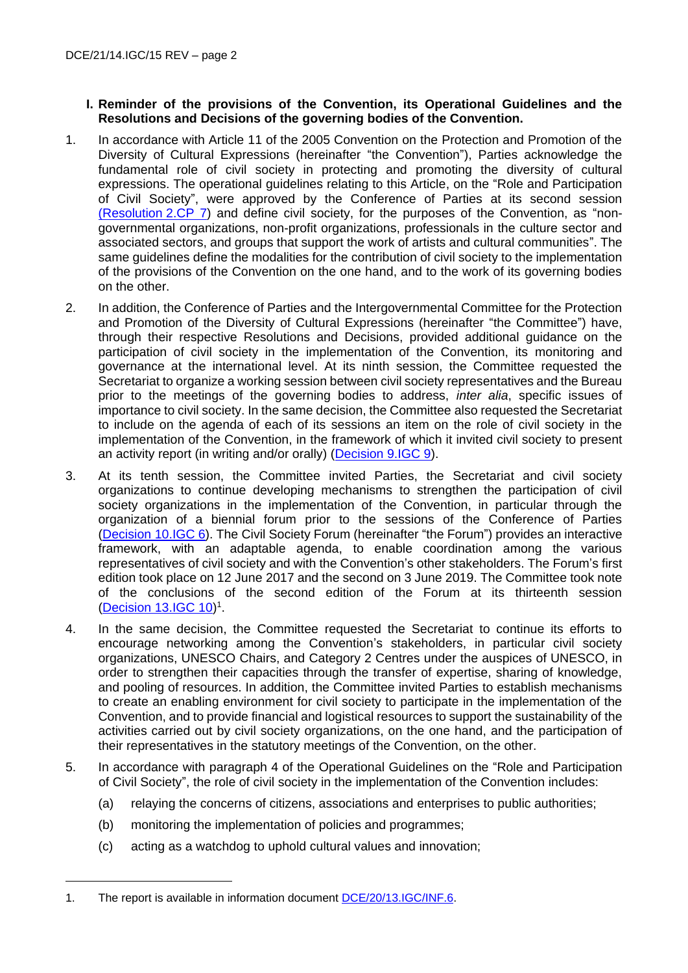## **I. Reminder of the provisions of the Convention, its Operational Guidelines and the Resolutions and Decisions of the governing bodies of the Convention.**

- 1. In accordance with Article 11 of the 2005 Convention on the Protection and Promotion of the Diversity of Cultural Expressions (hereinafter "the Convention"), Parties acknowledge the fundamental role of civil society in protecting and promoting the diversity of cultural expressions. The operational guidelines relating to this Article, on the "Role and Participation of Civil Society", were approved by the Conference of Parties at its second session [\(Resolution](https://en.unesco.org/creativity/sites/creativity/files/sessions/221654e.pdf) 2.CP 7) and define civil society, for the purposes of the Convention, as "nongovernmental organizations, non-profit organizations, professionals in the culture sector and associated sectors, and groups that support the work of artists and cultural communities". The same guidelines define the modalities for the contribution of civil society to the implementation of the provisions of the Convention on the one hand, and to the work of its governing bodies on the other.
- 2. In addition, the Conference of Parties and the Intergovernmental Committee for the Protection and Promotion of the Diversity of Cultural Expressions (hereinafter "the Committee") have, through their respective Resolutions and Decisions, provided additional guidance on the participation of civil society in the implementation of the Convention, its monitoring and governance at the international level. At its ninth session, the Committee requested the Secretariat to organize a working session between civil society representatives and the Bureau prior to the meetings of the governing bodies to address, *inter alia*, specific issues of importance to civil society. In the same decision, the Committee also requested the Secretariat to include on the agenda of each of its sessions an item on the role of civil society in the implementation of the Convention, in the framework of which it invited civil society to present an activity report (in writing and/or orally) [\(Decision](https://en.unesco.org/creativity/sites/creativity/files/sessions/9igc_decisions_en_final.pdf) 9.IGC 9).
- 3. At its tenth session, the Committee invited Parties, the Secretariat and civil society organizations to continue developing mechanisms to strengthen the participation of civil society organizations in the implementation of the Convention, in particular through the organization of a biennial forum prior to the sessions of the Conference of Parties (Decision [10.IGC 6\)](https://en.unesco.org/creativity/sites/creativity/files/sessions/10igc_decisions_en.pdf). The Civil Society Forum (hereinafter "the Forum") provides an interactive framework, with an adaptable agenda, to enable coordination among the various representatives of civil society and with the Convention's other stakeholders. The Forum's first edition took place on 12 June 2017 and the second on 3 June 2019. The Committee took note of the conclusions of the second edition of the Forum at its thirteenth session [\(Decision](https://en.unesco.org/creativity/sites/creativity/files/sessions/13igc_decisions_en.pdf) 13.IGC 10)<sup>1</sup>.
- 4. In the same decision, the Committee requested the Secretariat to continue its efforts to encourage networking among the Convention's stakeholders, in particular civil society organizations, UNESCO Chairs, and Category 2 Centres under the auspices of UNESCO, in order to strengthen their capacities through the transfer of expertise, sharing of knowledge, and pooling of resources. In addition, the Committee invited Parties to establish mechanisms to create an enabling environment for civil society to participate in the implementation of the Convention, and to provide financial and logistical resources to support the sustainability of the activities carried out by civil society organizations, on the one hand, and the participation of their representatives in the statutory meetings of the Convention, on the other.
- 5. In accordance with paragraph 4 of the Operational Guidelines on the "Role and Participation of Civil Society", the role of civil society in the implementation of the Convention includes:
	- (a) relaying the concerns of citizens, associations and enterprises to public authorities;
	- (b) monitoring the implementation of policies and programmes;
	- (c) acting as a watchdog to uphold cultural values and innovation;

<sup>1.</sup> The report is available in information documen[t DCE/20/13.IGC/INF.6.](https://en.unesco.org/creativity/sites/creativity/files/sessions/13igc_inf6_civil_society.pdf)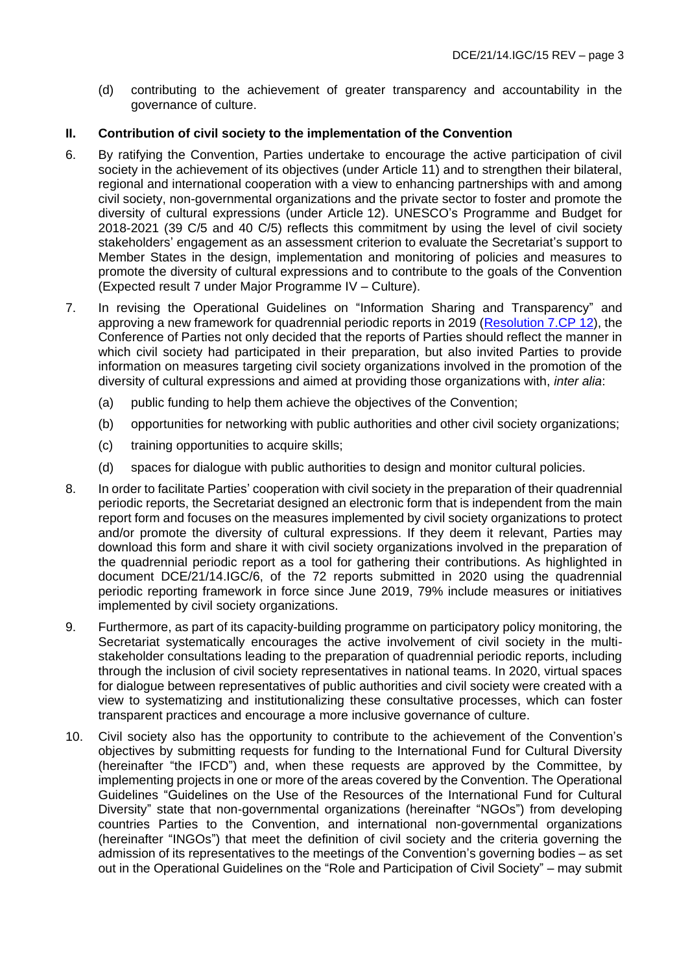(d) contributing to the achievement of greater transparency and accountability in the governance of culture.

#### **II. Contribution of civil society to the implementation of the Convention**

- 6. By ratifying the Convention, Parties undertake to encourage the active participation of civil society in the achievement of its objectives (under Article 11) and to strengthen their bilateral, regional and international cooperation with a view to enhancing partnerships with and among civil society, non-governmental organizations and the private sector to foster and promote the diversity of cultural expressions (under Article 12). UNESCO's Programme and Budget for 2018-2021 (39 C/5 and 40 C/5) reflects this commitment by using the level of civil society stakeholders' engagement as an assessment criterion to evaluate the Secretariat's support to Member States in the design, implementation and monitoring of policies and measures to promote the diversity of cultural expressions and to contribute to the goals of the Convention (Expected result 7 under Major Programme IV – Culture).
- 7. In revising the Operational Guidelines on "Information Sharing and Transparency" and approving a new framework for quadrennial periodic reports in 2019 [\(Resolution](https://fr.unesco.org/creativity/sites/creativity/files/sessions/7cp_resolutions_en.pdf) 7.CP 12), the Conference of Parties not only decided that the reports of Parties should reflect the manner in which civil society had participated in their preparation, but also invited Parties to provide information on measures targeting civil society organizations involved in the promotion of the diversity of cultural expressions and aimed at providing those organizations with, *inter alia*:
	- (a) public funding to help them achieve the objectives of the Convention;
	- (b) opportunities for networking with public authorities and other civil society organizations;
	- (c) training opportunities to acquire skills;
	- (d) spaces for dialogue with public authorities to design and monitor cultural policies.
- 8. In order to facilitate Parties' cooperation with civil society in the preparation of their quadrennial periodic reports, the Secretariat designed an electronic form that is independent from the main report form and focuses on the measures implemented by civil society organizations to protect and/or promote the diversity of cultural expressions. If they deem it relevant, Parties may download this form and share it with civil society organizations involved in the preparation of the quadrennial periodic report as a tool for gathering their contributions. As highlighted in document DCE/21/14.IGC/6, of the 72 reports submitted in 2020 using the quadrennial periodic reporting framework in force since June 2019, 79% include measures or initiatives implemented by civil society organizations.
- 9. Furthermore, as part of its capacity-building programme on participatory policy monitoring, the Secretariat systematically encourages the active involvement of civil society in the multistakeholder consultations leading to the preparation of quadrennial periodic reports, including through the inclusion of civil society representatives in national teams. In 2020, virtual spaces for dialogue between representatives of public authorities and civil society were created with a view to systematizing and institutionalizing these consultative processes, which can foster transparent practices and encourage a more inclusive governance of culture.
- 10. Civil society also has the opportunity to contribute to the achievement of the Convention's objectives by submitting requests for funding to the International Fund for Cultural Diversity (hereinafter "the IFCD") and, when these requests are approved by the Committee, by implementing projects in one or more of the areas covered by the Convention. The Operational Guidelines "Guidelines on the Use of the Resources of the International Fund for Cultural Diversity" state that non-governmental organizations (hereinafter "NGOs") from developing countries Parties to the Convention, and international non-governmental organizations (hereinafter "INGOs") that meet the definition of civil society and the criteria governing the admission of its representatives to the meetings of the Convention's governing bodies – as set out in the Operational Guidelines on the "Role and Participation of Civil Society" – may submit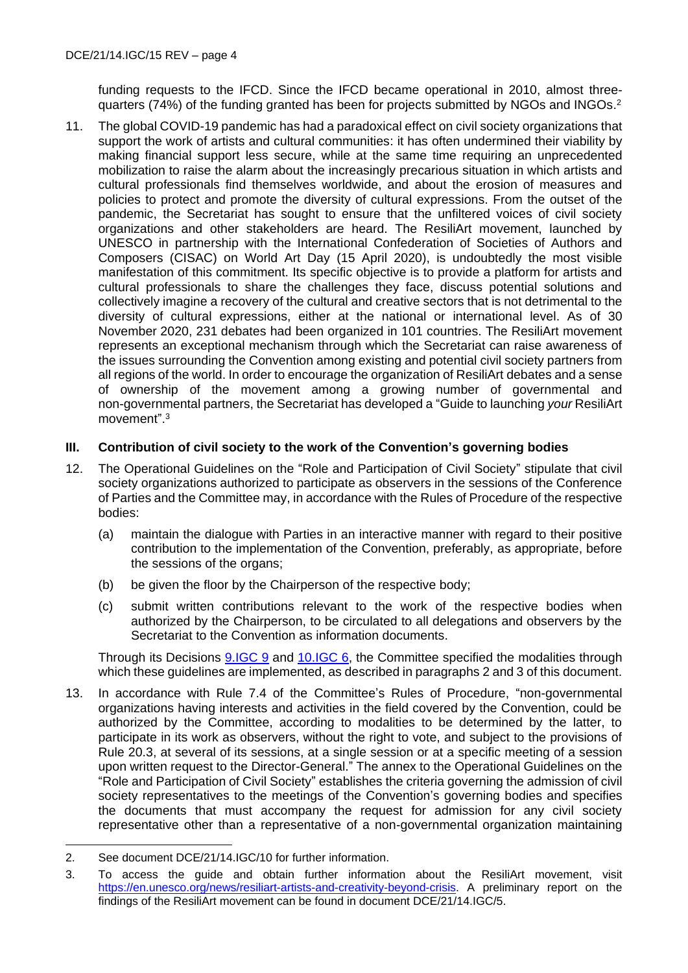funding requests to the IFCD. Since the IFCD became operational in 2010, almost threequarters (74%) of the funding granted has been for projects submitted by NGOs and INGOs.<sup>2</sup>

11. The global COVID-19 pandemic has had a paradoxical effect on civil society organizations that support the work of artists and cultural communities: it has often undermined their viability by making financial support less secure, while at the same time requiring an unprecedented mobilization to raise the alarm about the increasingly precarious situation in which artists and cultural professionals find themselves worldwide, and about the erosion of measures and policies to protect and promote the diversity of cultural expressions. From the outset of the pandemic, the Secretariat has sought to ensure that the unfiltered voices of civil society organizations and other stakeholders are heard. The ResiliArt movement, launched by UNESCO in partnership with the International Confederation of Societies of Authors and Composers (CISAC) on World Art Day (15 April 2020), is undoubtedly the most visible manifestation of this commitment. Its specific objective is to provide a platform for artists and cultural professionals to share the challenges they face, discuss potential solutions and collectively imagine a recovery of the cultural and creative sectors that is not detrimental to the diversity of cultural expressions, either at the national or international level. As of 30 November 2020, 231 debates had been organized in 101 countries. The ResiliArt movement represents an exceptional mechanism through which the Secretariat can raise awareness of the issues surrounding the Convention among existing and potential civil society partners from all regions of the world. In order to encourage the organization of ResiliArt debates and a sense of ownership of the movement among a growing number of governmental and non-governmental partners, the Secretariat has developed a "Guide to launching *your* ResiliArt movement".<sup>3</sup>

## **III. Contribution of civil society to the work of the Convention's governing bodies**

- 12. The Operational Guidelines on the "Role and Participation of Civil Society" stipulate that civil society organizations authorized to participate as observers in the sessions of the Conference of Parties and the Committee may, in accordance with the Rules of Procedure of the respective bodies:
	- (a) maintain the dialogue with Parties in an interactive manner with regard to their positive contribution to the implementation of the Convention, preferably, as appropriate, before the sessions of the organs;
	- (b) be given the floor by the Chairperson of the respective body;
	- (c) submit written contributions relevant to the work of the respective bodies when authorized by the Chairperson, to be circulated to all delegations and observers by the Secretariat to the Convention as information documents.

Through its Decisions [9.IGC 9](https://en.unesco.org/creativity/sites/creativity/files/sessions/9igc_decisions_en_final.pdf) and [10.IGC 6,](https://en.unesco.org/creativity/sites/creativity/files/sessions/10igc_decisions_en.pdf) the Committee specified the modalities through which these guidelines are implemented, as described in paragraphs 2 and 3 of this document.

13. In accordance with Rule 7.4 of the Committee's Rules of Procedure, "non-governmental organizations having interests and activities in the field covered by the Convention, could be authorized by the Committee, according to modalities to be determined by the latter, to participate in its work as observers, without the right to vote, and subject to the provisions of Rule 20.3, at several of its sessions, at a single session or at a specific meeting of a session upon written request to the Director-General." The annex to the Operational Guidelines on the "Role and Participation of Civil Society" establishes the criteria governing the admission of civil society representatives to the meetings of the Convention's governing bodies and specifies the documents that must accompany the request for admission for any civil society representative other than a representative of a non-governmental organization maintaining

<sup>2.</sup> See document DCE/21/14.IGC/10 for further information.

<sup>3.</sup> To access the guide and obtain further information about the ResiliArt movement, visit [https://en.unesco.org/news/resiliart-artists-and-creativity-beyond-crisis.](https://en.unesco.org/news/resiliart-artists-and-creativity-beyond-crisis) A preliminary report on the findings of the ResiliArt movement can be found in document DCE/21/14.IGC/5.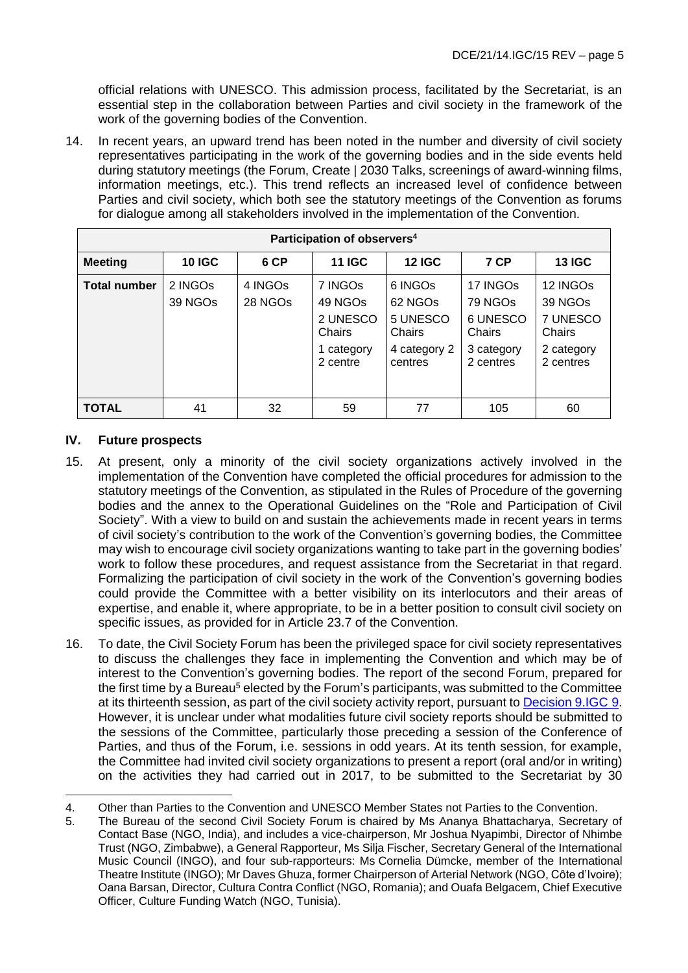official relations with UNESCO. This admission process, facilitated by the Secretariat, is an essential step in the collaboration between Parties and civil society in the framework of the work of the governing bodies of the Convention.

14. In recent years, an upward trend has been noted in the number and diversity of civil society representatives participating in the work of the governing bodies and in the side events held during statutory meetings (the Forum, Create | 2030 Talks, screenings of award-winning films, information meetings, etc.). This trend reflects an increased level of confidence between Parties and civil society, which both see the statutory meetings of the Convention as forums for dialogue among all stakeholders involved in the implementation of the Convention.

| Participation of observers <sup>4</sup> |                                            |                                |                                                                                |                                                                                             |                                                                      |                                                                                              |
|-----------------------------------------|--------------------------------------------|--------------------------------|--------------------------------------------------------------------------------|---------------------------------------------------------------------------------------------|----------------------------------------------------------------------|----------------------------------------------------------------------------------------------|
| <b>Meeting</b>                          | <b>10 IGC</b>                              | 6 CP                           | <b>11 IGC</b>                                                                  | <b>12 IGC</b>                                                                               | 7 CP                                                                 | <b>13 IGC</b>                                                                                |
| <b>Total number</b>                     | 2 INGO <sub>s</sub><br>39 NGO <sub>s</sub> | 4 INGOS<br>28 NGO <sub>s</sub> | 7 INGOs<br>49 NGO <sub>s</sub><br>2 UNESCO<br>Chairs<br>1 category<br>2 centre | 6 INGO <sub>s</sub><br>62 NGO <sub>s</sub><br>5 UNESCO<br>Chairs<br>4 category 2<br>centres | 17 INGOs<br>79 NGOs<br>6 UNESCO<br>Chairs<br>3 category<br>2 centres | 12 INGO <sub>s</sub><br>39 NGO <sub>s</sub><br>7 UNESCO<br>Chairs<br>2 category<br>2 centres |
| <b>TOTAL</b>                            | 41                                         | 32                             | 59                                                                             | 77                                                                                          | 105                                                                  | 60                                                                                           |

## **IV. Future prospects**

- 15. At present, only a minority of the civil society organizations actively involved in the implementation of the Convention have completed the official procedures for admission to the statutory meetings of the Convention, as stipulated in the Rules of Procedure of the governing bodies and the annex to the Operational Guidelines on the "Role and Participation of Civil Society". With a view to build on and sustain the achievements made in recent years in terms of civil society's contribution to the work of the Convention's governing bodies, the Committee may wish to encourage civil society organizations wanting to take part in the governing bodies' work to follow these procedures, and request assistance from the Secretariat in that regard. Formalizing the participation of civil society in the work of the Convention's governing bodies could provide the Committee with a better visibility on its interlocutors and their areas of expertise, and enable it, where appropriate, to be in a better position to consult civil society on specific issues, as provided for in Article 23.7 of the Convention.
- 16. To date, the Civil Society Forum has been the privileged space for civil society representatives to discuss the challenges they face in implementing the Convention and which may be of interest to the Convention's governing bodies. The report of the second Forum, prepared for the first time by a Bureau<sup>5</sup> elected by the Forum's participants, was submitted to the Committee at its thirteenth session, as part of the civil society activity report, pursuant to [Decision 9.IGC](https://en.unesco.org/creativity/sites/creativity/files/sessions/9igc_decisions_en_final.pdf) 9. However, it is unclear under what modalities future civil society reports should be submitted to the sessions of the Committee, particularly those preceding a session of the Conference of Parties, and thus of the Forum, i.e. sessions in odd years. At its tenth session, for example, the Committee had invited civil society organizations to present a report (oral and/or in writing) on the activities they had carried out in 2017, to be submitted to the Secretariat by 30

<sup>4.</sup> Other than Parties to the Convention and UNESCO Member States not Parties to the Convention.

<sup>5.</sup> The Bureau of the second Civil Society Forum is chaired by Ms Ananya Bhattacharya, Secretary of Contact Base (NGO, India), and includes a vice-chairperson, Mr Joshua Nyapimbi, Director of Nhimbe Trust (NGO, Zimbabwe), a General Rapporteur, Ms Silja Fischer, Secretary General of the International Music Council (INGO), and four sub-rapporteurs: Ms Cornelia Dümcke, member of the International Theatre Institute (INGO); Mr Daves Ghuza, former Chairperson of Arterial Network (NGO, Côte d'Ivoire); Oana Barsan, Director, Cultura Contra Conflict (NGO, Romania); and Ouafa Belgacem, Chief Executive Officer, Culture Funding Watch (NGO, Tunisia).